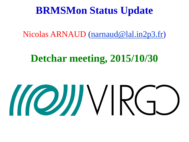## **BRMSMon Status Update**

Nicolas ARNAUD ([narnaud@lal.in2p3.fr\)](mailto:narnaud@lal.in2p3.fr)

## **Detchar meeting, 2015/10/30**

# MOJJ VIRGO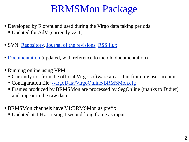## BRMSMon Package

- Developed by Florent and used during the Virgo data taking periods
	- Updated for AdV (currently v2r1)
- SVN: [Repository,](https://websvn.virgo.infn.it/listing.php?repname=advsw&path=%2FBRMSMon%2F&#ae0cf46cffe903d610ea555b6008270e0) [Journal of the revisions,](https://websvn.virgo.infn.it/log.php?repname=advsw&path=%2FBRMSMon%2F&isdir=1&) [RSS flux](https://websvn.virgo.infn.it/rss.php?repname=advsw&path=%2FBRMSMon%2F&isdir=1&)
- [Documentation](https://www.virgo-gw.eu/DataAnalysis/BRMSMon/index.html) (updated, with reference to the old documentation)
- Running online using VPM
	- Currently not from the official Virgo software area but from my user account
	- Configuration file: [/virgoData/VirgoOnline/BRMSMon.cfg](https://vpm.virgo.infn.it:40000/editor.html?owner=BRMSMon&editable=Configuration)
	- Frames produced by BRMSMon are processed by SegOnline (thanks to Didier) and appear in the raw data
- BRMSMon channels have V1:BRMSMon as prefix
	- Updated at 1 Hz using 1 second-long frame as input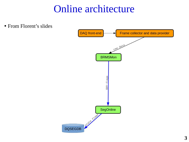## Online architecture

• From Florent's slides Frame collector and data provider DAQ front-end raw data **BRMSMon** ENV-flags SegOnline A RIVER ATOM **DQSEGDB**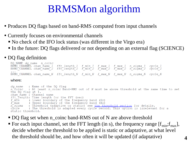## BRMSMon algorithm

- Produces DQ flags based on band-RMS computed from input channels
- Currently focuses on environmental channels
	- No check of the IFO lock status (was different in the Virgo era)
	- In the future: DQ flags delivered or not depending on an external flag (SCIENCE)

### • DQ flag definition

DQ NAME dq name n coinc BRMS CHANNEL chan name 1 fft length 1 f min 1 f max 1 f max 1 n sigma 1 cycle 1<br>BRMS CHANNEL chan name 2 fft length 2 f min 2 f max 2 f max 2 n sigma 2 cycle 2 BRMS CHANNEL chan name N fft length N f min N f max N f max N n sigma N cycle N

#### where:

dq name : Name of the DQ flaq n coinc : At least n coinc Band-RMS out of N must be above threshold at the same time to set the DO flag at 1. chan name : Channel name fft length: Time length for the FFT (sec) f min : Lower boundary of the frequency band (Hz) f max : Upper boundary of the frequency band (Hz)<br>
n sigma : Threshold (adaptive or static) see the threshold section for details.<br>
cycle : The threshold is adapted every cycle second. This option is irrelevant for a static threshold.

- DQ flag set when n\_coinc band-RMS out of N are above threshold
- For each input channel, set the FFT length (in s), the frequency range  $[f_{min};f_{max}]$ , decide whether the threshold to be applied is static or adaptative, at what level the threshold should be, and how often it will be updated (if adaptative) **4**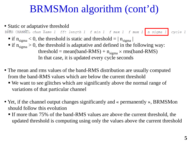## BRMSMon algorithm (cont'd)

- Static or adaptative threshold BRUS CHANNEL chan name 1 fft length 1 f min 1 f max 1 f max 1 n sigma 1 cycle 1  $\blacksquare$  if  $n_{sigma} < 0$ , the threshold is static and threshold  $= |n_{sigma}|$  $\blacksquare$  if  $n_{sigma} > 0$ , the threshold is adaptative and defined in the following way: threshold = mean(band-RMS) +  $n_{sigma} \times rms(band-RMS)$ In that case, it is updated every cycle seconds
- The mean and rms values of the band-RMS distribution are usually computed from the band-RMS values which are below the current threshold
	- We want to see glitches which are significantly above the normal range of variations of that particular channel
- Yet, if the channel output changes significantly and « permanently », BRMSMon should follow this evolution
	- If more than 75% of the band-RMS values are above the current threshold, the updated threshold is computing using only the values above the current threshold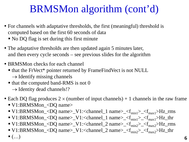## BRMSMon algorithm (cont'd)

- For channels with adaptative thresholds, the first (meaningful) threshold is computed based on the first 60 seconds of data
	- No DQ flag is set during this first minute
- The adaptative thresholds are then updated again 5 minutes later, and then every cycle seconds – see previous slides for the algorithm
- BRMSMon checks for each channel
	- that the FrVect<sup>\*</sup> pointer returned by FrameFindVect is not NULL  $\rightarrow$  Identify missing channels
	- $\blacksquare$  that the computed band-RMS is not 0
		- $\rightarrow$  Identity dead channels!?
- Each DQ flag produces  $2 \times$  (number of input channels) + 1 channels in the raw frame
	- V1:BRMSMon\_<DQ name>
	- $\blacktriangleright$  V1:BRMSMon\_<DQ name>\_V1:<channel\_1 name>\_<f<sub>min1</sub>>\_<f<sub>max1</sub>>Hz\_rms
	- $\blacktriangleright$  V1:BRMSMon\_<DQ name>\_V1:<channel\_1 name>\_<f<sub>min1</sub>>\_<f<sub>max1</sub>>Hz\_thr
	- $\blacktriangleright$  V1:BRMSMon\_<DQ name>\_V1:<channel\_2 name>\_<f<sub>min2</sub>>\_<f<sub>max2</sub>>Hz\_rms
	- $\blacktriangleright$  V1:BRMSMon\_<DQ name>\_V1:<channel\_2 name>\_<f<sub>min2</sub>>\_<f<sub>max2</sub>>Hz\_thr

 $\bullet$  (...) 6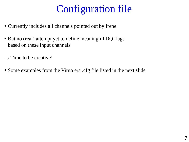## Configuration file

- Currently includes all channels pointed out by Irene
- But no (real) attempt yet to define meaningful DQ flags based on these input channels
- $\rightarrow$  Time to be creative!
- Some examples from the Virgo era .cfg file listed in the next slide